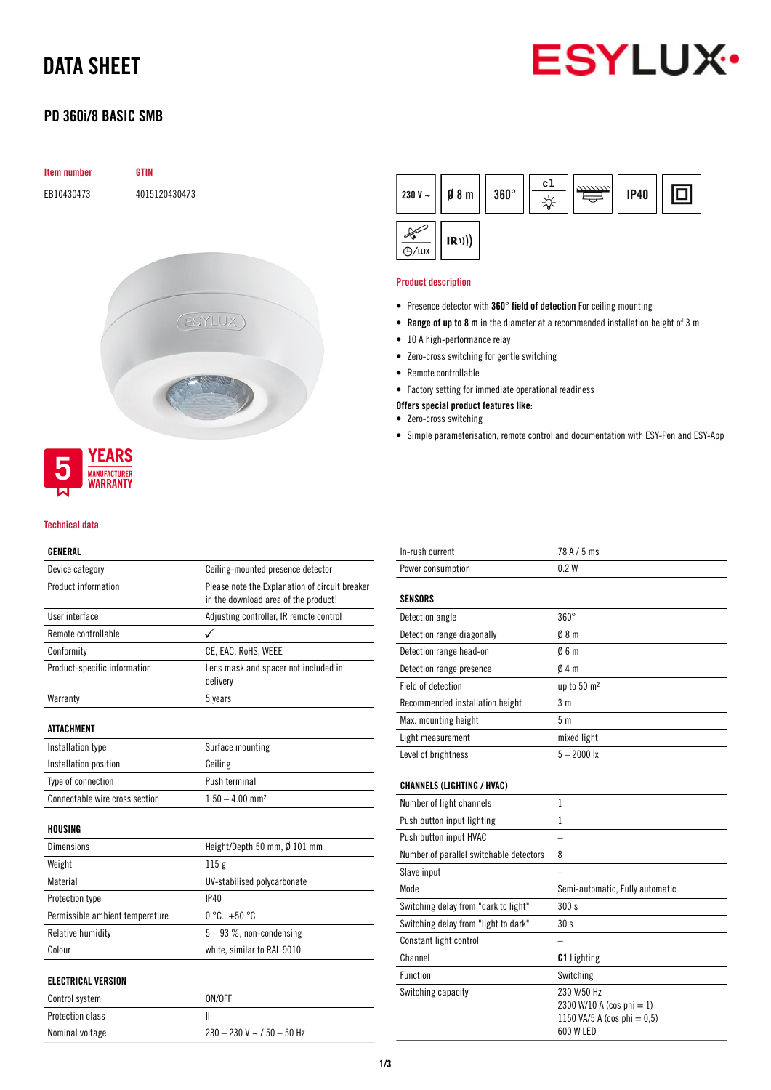# DATA SHEET



## PD 360i/8 BASIC SMB



### Technical data

### GENERAL

| Device category                 | Ceiling-mounted presence detector                                                      |  |  |
|---------------------------------|----------------------------------------------------------------------------------------|--|--|
| Product information             | Please note the Explanation of circuit breaker<br>in the download area of the product! |  |  |
| User interface                  | Adjusting controller, IR remote control                                                |  |  |
| Remote controllable             |                                                                                        |  |  |
| Conformity                      | CE, EAC, RoHS, WEEE                                                                    |  |  |
| Product-specific information    | Lens mask and spacer not included in<br>delivery                                       |  |  |
| Warranty                        | 5 years                                                                                |  |  |
| <b>ATTACHMENT</b>               |                                                                                        |  |  |
| Installation type               | Surface mounting                                                                       |  |  |
| Installation position           | Ceiling                                                                                |  |  |
| Type of connection              | Push terminal                                                                          |  |  |
| Connectable wire cross section  | $1.50 - 4.00$ mm <sup>2</sup>                                                          |  |  |
| HOUSING                         |                                                                                        |  |  |
| <b>Dimensions</b>               | Height/Depth 50 mm, $\emptyset$ 101 mm                                                 |  |  |
| Weight                          | 115g                                                                                   |  |  |
| Material                        | UV-stabilised polycarbonate                                                            |  |  |
| Protection type                 | IP40                                                                                   |  |  |
| Permissible ambient temperature | $0^{\circ}$ C +50 $^{\circ}$ C                                                         |  |  |
| Relative humidity               | $5 - 93$ %, non-condensing                                                             |  |  |
| Colour                          | white, similar to RAL 9010                                                             |  |  |
| <b>ELECTRICAL VERSION</b>       |                                                                                        |  |  |
| Control system                  | ON/OFF                                                                                 |  |  |
| <b>Protection class</b>         | Ш                                                                                      |  |  |
| Nominal voltage                 | $230 - 230$ V ~ $/$ 50 - 50 Hz                                                         |  |  |

| 230 V $\sim$ | $\emptyset$ 8 m | $360^\circ$ | c 1 | <b>IP40</b> |  |
|--------------|-----------------|-------------|-----|-------------|--|
| <b>B/LUX</b> | (R))            |             |     |             |  |

### Product description

- Presence detector with 360° field of detection For ceiling mounting
- Range of up to 8 m in the diameter at a recommended installation height of 3 m
- 10 A high-performance relay
- Zero-cross switching for gentle switching
- Remote controllable
- Factory setting for immediate operational readiness
- Offers special product features like:
- Zero-cross switching
- Simple parameterisation, remote control and documentation with ESY-Pen and ESY-App

| In-rush current                         | 78 A / 5 ms                                                                             |
|-----------------------------------------|-----------------------------------------------------------------------------------------|
| Power consumption                       | 0.2W                                                                                    |
| <b>SENSORS</b>                          |                                                                                         |
| Detection angle                         | $360^\circ$                                                                             |
| Detection range diagonally              | 08 <sub>m</sub>                                                                         |
| Detection range head-on                 | 06m                                                                                     |
| Detection range presence                | 04m                                                                                     |
| Field of detection                      | up to 50 m <sup>2</sup>                                                                 |
| Recommended installation height         | 3 <sub>m</sub>                                                                          |
| Max. mounting height                    | 5 <sub>m</sub>                                                                          |
| Light measurement                       | mixed light                                                                             |
| Level of brightness                     | $5 - 2000$ lx                                                                           |
| <b>CHANNELS (LIGHTING / HVAC)</b>       |                                                                                         |
| Number of light channels                | 1                                                                                       |
| Push button input lighting              | 1                                                                                       |
| Push button input HVAC                  |                                                                                         |
| Number of parallel switchable detectors | 8                                                                                       |
| Slave input                             |                                                                                         |
| Mode                                    | Semi-automatic, Fully automatic                                                         |
| Switching delay from "dark to light"    | 300s                                                                                    |
| Switching delay from "light to dark"    | 30 <sub>s</sub>                                                                         |
| Constant light control                  |                                                                                         |
| Channel                                 | <b>C1</b> Lighting                                                                      |
| <b>Function</b>                         | Switching                                                                               |
| Switching capacity                      | 230 V/50 Hz<br>2300 W/10 A (cos phi = 1)<br>1150 VA/5 A (cos phi = $0,5$ )<br>600 W LED |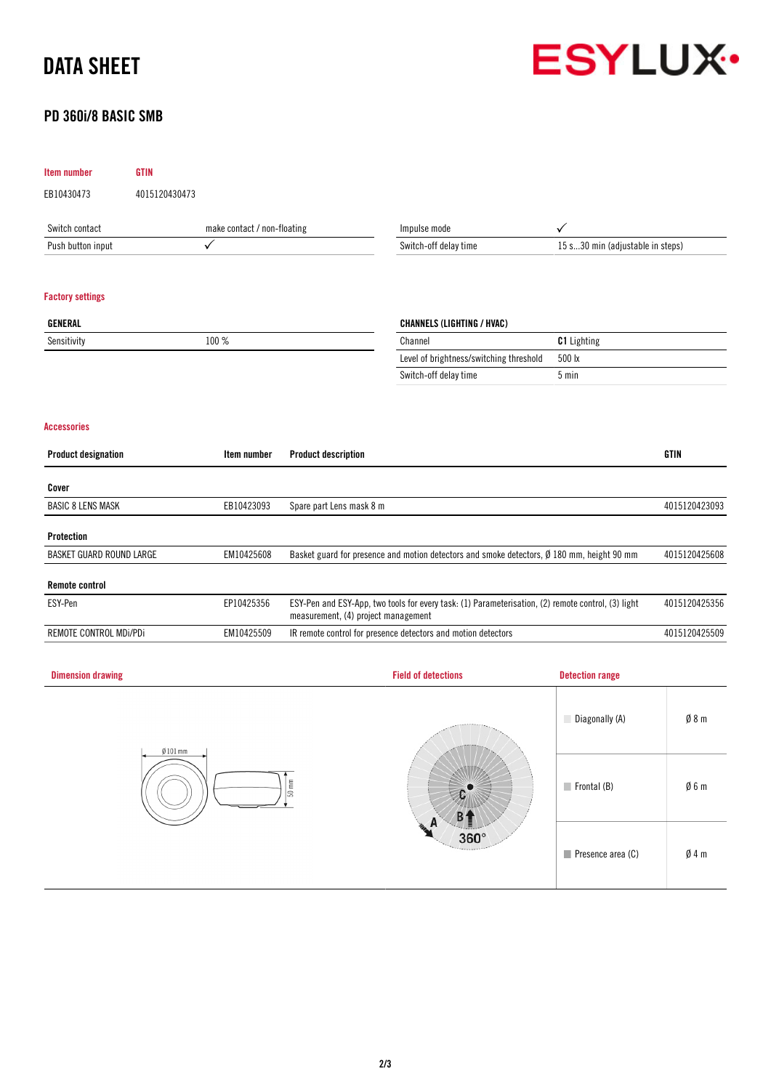# DATA SHEET





| <b>Item number</b>              | <b>GTIN</b>   |                             |                                                                                                                                           |                                                                                            |                                  |               |  |
|---------------------------------|---------------|-----------------------------|-------------------------------------------------------------------------------------------------------------------------------------------|--------------------------------------------------------------------------------------------|----------------------------------|---------------|--|
| EB10430473                      | 4015120430473 |                             |                                                                                                                                           |                                                                                            |                                  |               |  |
| Switch contact                  |               | make contact / non-floating | Impulse mode                                                                                                                              |                                                                                            | $\checkmark$                     |               |  |
| Push button input               | $\checkmark$  |                             |                                                                                                                                           | Switch-off delay time                                                                      | 15 s30 min (adjustable in steps) |               |  |
| <b>Factory settings</b>         |               |                             |                                                                                                                                           |                                                                                            |                                  |               |  |
| <b>GENERAL</b>                  |               |                             |                                                                                                                                           | <b>CHANNELS (LIGHTING / HVAC)</b>                                                          |                                  |               |  |
| Sensitivity                     |               | 100 %                       |                                                                                                                                           | Channel                                                                                    | C1 Lighting                      |               |  |
|                                 |               |                             |                                                                                                                                           | Level of brightness/switching threshold                                                    | 500 lx                           |               |  |
|                                 |               |                             |                                                                                                                                           | Switch-off delay time                                                                      | 5 min                            |               |  |
| <b>Accessories</b>              |               |                             |                                                                                                                                           |                                                                                            |                                  |               |  |
| <b>Product designation</b>      |               | Item number                 | <b>Product description</b>                                                                                                                |                                                                                            |                                  | <b>GTIN</b>   |  |
| Cover                           |               |                             |                                                                                                                                           |                                                                                            |                                  |               |  |
| <b>BASIC 8 LENS MASK</b>        |               | EB10423093                  | Spare part Lens mask 8 m                                                                                                                  |                                                                                            |                                  | 4015120423093 |  |
| Protection                      |               |                             |                                                                                                                                           |                                                                                            |                                  |               |  |
| <b>BASKET GUARD ROUND LARGE</b> |               | EM10425608                  |                                                                                                                                           | Basket guard for presence and motion detectors and smoke detectors, Ø 180 mm, height 90 mm |                                  | 4015120425608 |  |
| <b>Remote control</b>           |               |                             |                                                                                                                                           |                                                                                            |                                  |               |  |
| ESY-Pen                         |               | EP10425356                  | ESY-Pen and ESY-App, two tools for every task: (1) Parameterisation, (2) remote control, (3) light<br>measurement, (4) project management |                                                                                            |                                  | 4015120425356 |  |
| REMOTE CONTROL MDi/PDi          |               | EM10425509                  |                                                                                                                                           | IR remote control for presence detectors and motion detectors                              |                                  | 4015120425509 |  |
| <b>Dimension drawing</b>        |               |                             |                                                                                                                                           | <b>Field of detections</b>                                                                 | <b>Detection range</b>           |               |  |
|                                 |               |                             |                                                                                                                                           |                                                                                            |                                  |               |  |



# Diagonally (A)  $\emptyset$  8 m Frontal (B) Ø 6 m  $c^{\bullet}$  $B<sub>1</sub>$  $360^\circ$ Presence area (C)  $\emptyset$  4 m